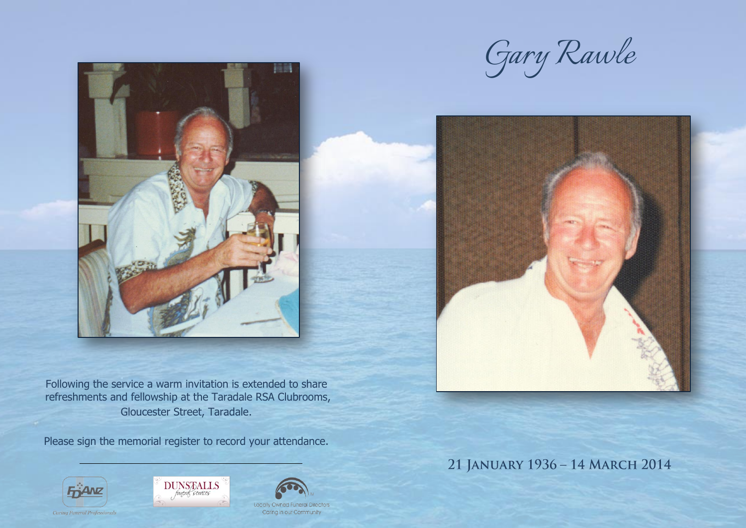

Following the service a warm invitation is extended to share refreshments and fellowship at the Taradale RSA Clubrooms, Gloucester Street, Taradale.

Please sign the memorial register to record your attendance.











21 JANUARY 1936 - 14 MARCH 2014

Carina Euperal Professi